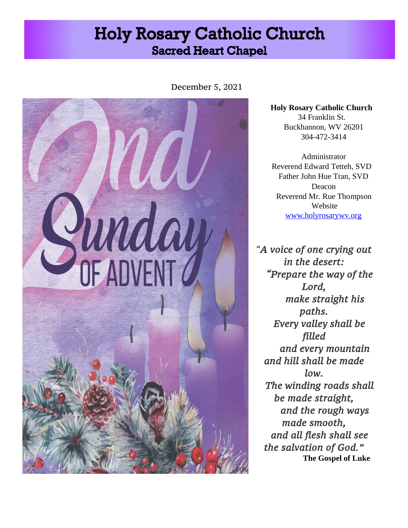# **Holy Rosary Catholic Church Sacred Heart Chapel**

December 5, 2021



**Holy Rosary Catholic Church**  34 Franklin St. Buckhannon, WV 26201 304-472-3414

Administrator Reverend Edward Tetteh, SVD Father John Hue Tran, SVD Deacon Reverend Mr. Rue Thompson Website [www.holyrosarywv.org](http://www.holyrosarywv.org/)

"*A voice of one crying out in the desert: "Prepare the way of the Lord, make straight his paths. Every valley shall be filled and every mountain and hill shall be made low. The winding roads shall be made straight, and the rough ways made smooth, and all flesh shall see the salvation of God."*  **The Gospel of Luke**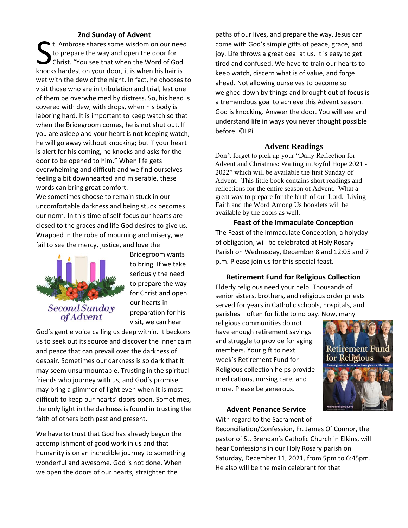#### **2nd Sunday of Advent**

t. Ambrose shares some wisdom on our need to prepare the way and open the door for Christ. "You see that when the Word of God t. Ambrose shares some wisdom on our need<br>to prepare the way and open the door for<br>Christ. "You see that when the Word of God<br>knocks hardest on your door, it is when his hair is wet with the dew of the night. In fact, he chooses to visit those who are in tribulation and trial, lest one of them be overwhelmed by distress. So, his head is covered with dew, with drops, when his body is laboring hard. It is important to keep watch so that when the Bridegroom comes, he is not shut out. If you are asleep and your heart is not keeping watch, he will go away without knocking; but if your heart is alert for his coming, he knocks and asks for the door to be opened to him." When life gets overwhelming and difficult and we find ourselves feeling a bit downhearted and miserable, these words can bring great comfort.

We sometimes choose to remain stuck in our uncomfortable darkness and being stuck becomes our norm. In this time of self-focus our hearts are closed to the graces and life God desires to give us. Wrapped in the robe of mourning and misery, we fail to see the mercy, justice, and love the



Bridegroom wants to bring. If we take seriously the need to prepare the way for Christ and open our hearts in preparation for his visit, we can hear

God's gentle voice calling us deep within. It beckons us to seek out its source and discover the inner calm and peace that can prevail over the darkness of despair. Sometimes our darkness is so dark that it may seem unsurmountable. Trusting in the spiritual friends who journey with us, and God's promise may bring a glimmer of light even when it is most difficult to keep our hearts' doors open. Sometimes, the only light in the darkness is found in trusting the faith of others both past and present.

We have to trust that God has already begun the accomplishment of good work in us and that humanity is on an incredible journey to something wonderful and awesome. God is not done. When we open the doors of our hearts, straighten the

paths of our lives, and prepare the way, Jesus can come with God's simple gifts of peace, grace, and joy. Life throws a great deal at us. It is easy to get tired and confused. We have to train our hearts to keep watch, discern what is of value, and forge ahead. Not allowing ourselves to become so weighed down by things and brought out of focus is a tremendous goal to achieve this Advent season. God is knocking. Answer the door. You will see and understand life in ways you never thought possible before. ©LPi

#### **Advent Readings**

Don't forget to pick up your "Daily Reflection for Advent and Christmas: Waiting in Joyful Hope 2021 - 2022" which will be available the first Sunday of Advent. This little book contains short readings and reflections for the entire season of Advent. What a great way to prepare for the birth of our Lord. Living Faith and the Word Among Us booklets will be available by the doors as well.

**Feast of the Immaculate Conception** The Feast of the Immaculate Conception, a holyday of obligation, will be celebrated at Holy Rosary Parish on Wednesday, December 8 and 12:05 and 7 p.m. Please join us for this special feast.

**Retirement Fund for Religious Collection** Elderly religious need your help. Thousands of senior sisters, brothers, and religious order priests served for years in Catholic schools, hospitals, and parishes—often for little to no pay. Now, many

religious communities do not have enough retirement savings and struggle to provide for aging members. Your gift to next week's Retirement Fund for Religious collection helps provide medications, nursing care, and more. Please be generous.



#### **Advent Penance Service**

With regard to the Sacrament of

Reconciliation/Confession, Fr. James O' Connor, the pastor of St. Brendan's Catholic Church in Elkins, will hear Confessions in our Holy Rosary parish on Saturday, December 11, 2021, from 5pm to 6:45pm. He also will be the main celebrant for that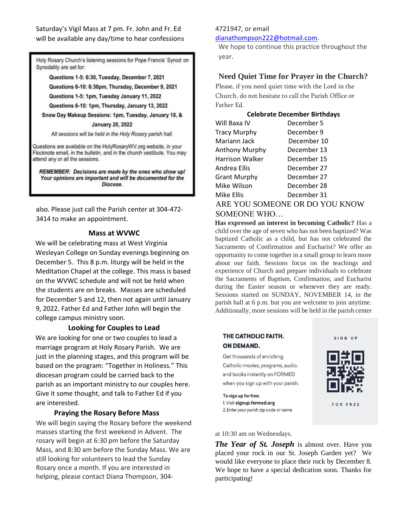Saturday's Vigil Mass at 7 pm. Fr. John and Fr. Ed will be available any day/time to hear confessions

Holy Rosary Church's listening sessions for Pope Francis' Synod on Synodality are set for:

Questions 1-5: 6:30, Tuesday, December 7, 2021

Questions 6-10: 6:30pm, Thursday, December 9, 2021

Questions 1-5: 1pm, Tuesday January 11, 2022

Questions 6-10: 1pm, Thursday, January 13, 2022

Snow Day Makeup Sessions: 1pm, Tuesday, January 18, &

**January 20, 2022** 

All sessions will be held in the Holy Rosary parish hall.

Questions are available on the HolyRosaryWV.org website, in your Flocknote email, in the bulletin, and in the church vestibule. You may attend any or all the sessions.

REMEMBER: Decisions are made by the ones who show up! Your opinions are important and will be documented for the Diocese.

also. Please just call the Parish center at 304-472- 3414 to make an appointment.

#### **Mass at WVWC**

We will be celebrating mass at West Virginia Wesleyan College on Sunday evenings beginning on December 5. This 8 p.m. liturgy will be held in the Meditation Chapel at the college. This mass is based on the WVWC schedule and will not be held when the students are on breaks. Masses are scheduled for December 5 and 12, then not again until January 9, 2022. Father Ed and Father John will begin the college campus ministry soon.

#### **Looking for Couples to Lead**

We are looking for one or two couples to lead a marriage program at Holy Rosary Parish. We are just in the planning stages, and this program will be based on the program: "Together in Holiness." This diocesan program could be carried back to the parish as an important ministry to our couples here. Give it some thought, and talk to Father Ed if you are interested.

#### **Praying the Rosary Before Mass**

We will begin saying the Rosary before the weekend masses starting the first weekend in Advent. The rosary will begin at 6:30 pm before the Saturday Mass, and 8:30 am before the Sunday Mass. We are still looking for volunteers to lead the Sunday Rosary once a month. If you are interested in helping, please contact Diana Thompson, 304-

### 4721947, or email

dianathompson222@hotmail.com.

We hope to continue this practice throughout the year.

#### **Need Quiet Time for Prayer in the Church?**

Please, if you need quiet time with the Lord in the Church, do not hesitate to call the Parish Office or Father Ed.

#### **Celebrate December Birthdays**

| Will Baxa IV        | December 5  |
|---------------------|-------------|
| <b>Tracy Murphy</b> | December 9  |
| Mariann Jack        | December 10 |
| Anthony Murphy      | December 13 |
| Harrison Walker     | December 15 |
| Andrea Ellis        | December 27 |
| <b>Grant Murphy</b> | December 27 |
| Mike Wilson         | December 28 |
| Mike Ellis          | December 31 |

ARE YOU SOMEONE OR DO YOU KNOW SOMEONE WHO…

**Has expressed an interest in becoming Catholic?** Has a child over the age of seven who has not been baptized? Was baptized Catholic as a child, but has not celebrated the Sacraments of Confirmation and Eucharist? We offer an opportunity to come together in a small group to learn more about our faith. Sessions focus on the teachings and experience of Church and prepare individuals to celebrate the Sacraments of Baptism, Confirmation, and Eucharist during the Easter season or whenever they are ready. Sessions started on SUNDAY, NOVEMBER 14, in the parish hall at 6 p.m. but you are welcome to join anytime. Additionally, more sessions will be held in the parish center

#### THE CATHOLIC FAITH. **ON DEMAND.**

Get thousands of enriching Catholic movies, programs, audio, and books instantly on FORMED when you sign up with your parish.



**FOR FREE** 

To sign up for free: 1. Visit signup.formed.org 2. Enter your parish zip code or name

at 10:30 am on Wednesdays.

*The Year of St. Joseph* is almost over. Have you placed your rock in our St. Joseph Garden yet? We would like everyone to place their rock by December 8. We hope to have a special dedication soon. Thanks for participating!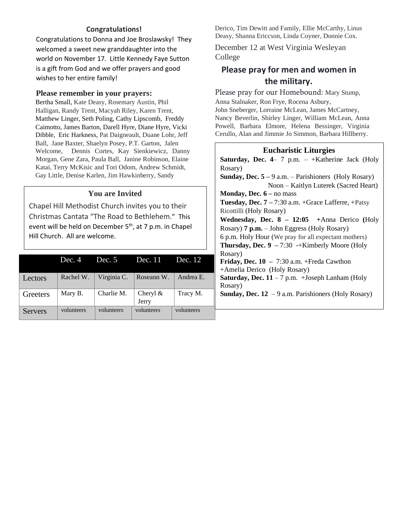# **Congratulations!**

Congratulations to Donna and Joe Broslawsky! They welcomed a sweet new granddaughter into the world on November 17. Little Kennedy Faye Sutton is a gift from God and we offer prayers and good wishes to her entire family!

#### **Please remember in your prayers:**

Bertha Small, Kate Deasy, Rosemary Austin, Phil Halligan, Randy Trent, Macyah Riley, Karen Trent, Matthew Linger, Seth Poling, Cathy Lipscomb, Freddy Caimotto, James Barton, Darell Hyre, Diane Hyre, Vicki Dibble, Eric Harkness, Pat Daigneault, Duane Lohr, Jeff Ball, Jane Baxter, Shaelyn Posey, P.T. Garton, Jalen Welcome, Dennis Cortes, Kay Sienkiewicz, Danny Morgan, Gene Zara, Paula Ball, Janine Robinson, Elaine Katai, Terry McKisic and Tori Odom, Andrew Schmidt, Gay Little, Denise Karlen, Jim Hawkinberry, Sandy

# **You are Invited**

C Chapel Hill Methodist Church invites you to their Christmas Cantata "The Road to Bethlehem." This event will be held on December  $5<sup>th</sup>$ , at 7 p.m. in Chapel Hill Church. All are welcome.

|                | Dec. 4     | Dec. 5      | Dec. 11              | Dec. 12    |
|----------------|------------|-------------|----------------------|------------|
| Lectors        | Rachel W.  | Virginia C. | Roseann W.           | Andrea E.  |
| Greeters       | Mary B.    | Charlie M.  | Cheryl $\&$<br>Jerry | Tracy M.   |
| <b>Servers</b> | volunteers | volunteers  | volunteers           | volunteers |

Derico, Tim Dewitt and Family, Ellie McCarthy, Linus Deasy, Shanna Ericcson, Linda Coyner, Donnie Cox.

December 12 at West Virginia Wesleyan College

# **Please pray for men and women in the military.**

Please pray for our Homebound: Mary Stump,

Anna Stalnaker, Ron Frye, Rocena Asbury, John Sneberger, Lorraine McLean, James McCartney, Nancy Beverlin, Shirley Linger, William McLean, Anna Powell, Barbara Elmore, Helena Bessinger, Virginia Cerullo, Alan and Jimmie Jo Simmon, Barbara Hillberry.

# **Eucharistic Liturgies**

**Saturday, Dec. 4**– 7 p.m. – +Katherine Jack (Holy Rosary)

**Sunday, Dec. 5 –** 9 a.m. – Parishioners (Holy Rosary) Noon – Kaitlyn Luterek (Sacred Heart)

**Monday, Dec. 6 –** no mass

**Tuesday, Dec. 7 –** 7:30 a.m. +Grace Lafferre, +Patsy Ricottilli (Holy Rosary)

**Wednesday, Dec. 8 – 12:05 +**Anna Derico **(**Holy Rosary) **7 p.m.** – John Eggress (Holy Rosary) 6 p.m. Holy Hour (We pray for all expectant mothers) **Thursday, Dec. 9 –** 7:30 -+Kimberly Moore (Holy Rosary)

**Friday, Dec. 10 –** 7:30 a.m. +Freda Cawthon +Amelia Derico (Holy Rosary) **Saturday, Dec.**  $11 - 7$  **p.m.** + Joseph Lanham (Holy Rosary)

**Sunday, Dec. 12** – 9 a.m. Parishioners (Holy Rosary)